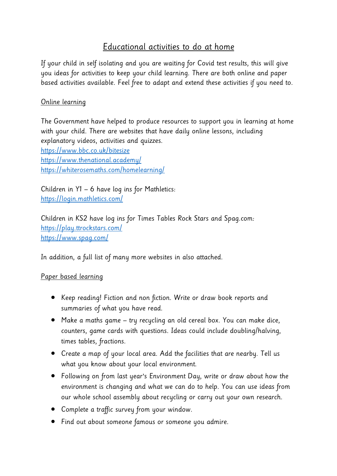## Educational activities to do at home

If your child in self isolating and you are waiting for Covid test results, this will give you ideas for activities to keep your child learning. There are both online and paper based activities available. Feel free to adapt and extend these activities if you need to.

## Online learning

The Government have helped to produce resources to support you in learning at home with your child. There are websites that have daily online lessons, including explanatory videos, activities and quizzes. <https://www.bbc.co.uk/bitesize> <https://www.thenational.academy/> <https://whiterosemaths.com/homelearning/>

Children in Y1 – 6 have log ins for Mathletics: <https://login.mathletics.com/>

Children in KS2 have log ins for Times Tables Rock Stars and Spag.com: <https://play.ttrockstars.com/> <https://www.spag.com/>

In addition, a full list of many more websites in also attached.

## Paper based learning

- Keep reading! Fiction and non fiction. Write or draw book reports and summaries of what you have read.
- Make a maths game try recycling an old cereal box. You can make dice, counters, game cards with questions. Ideas could include doubling/halving, times tables, fractions.
- Create a map of your local area. Add the facilities that are nearby. Tell us what you know about your local environment.
- Following on from last year's Environment Day, write or draw about how the environment is changing and what we can do to help. You can use ideas from our whole school assembly about recycling or carry out your own research.
- Complete a traffic survey from your window.
- Find out about someone famous or someone you admire.